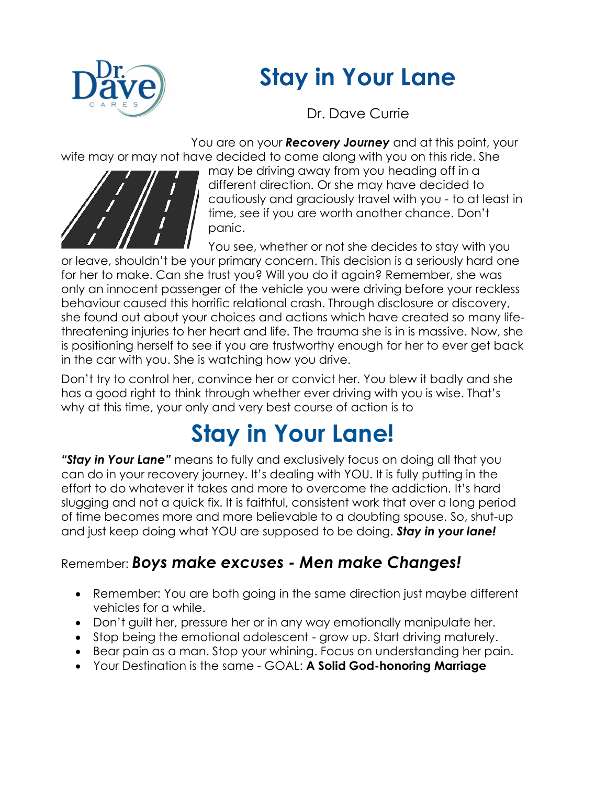## **Stay in Your Lane**



Dr. Dave Currie

You are on your *Recovery Journey* and at this point, your wife may or may not have decided to come along with you on this ride. She



may be driving away from you heading off in a different direction. Or she may have decided to cautiously and graciously travel with you - to at least in time, see if you are worth another chance. Don't panic.

You see, whether or not she decides to stay with you or leave, shouldn't be your primary concern. This decision is a seriously hard one for her to make. Can she trust you? Will you do it again? Remember, she was only an innocent passenger of the vehicle you were driving before your reckless behaviour caused this horrific relational crash. Through disclosure or discovery, she found out about your choices and actions which have created so many lifethreatening injuries to her heart and life. The trauma she is in is massive. Now, she is positioning herself to see if you are trustworthy enough for her to ever get back in the car with you. She is watching how you drive.

Don't try to control her, convince her or convict her. You blew it badly and she has a good right to think through whether ever driving with you is wise. That's why at this time, your only and very best course of action is to

## **Stay in Your Lane!**

*"Stay in Your Lane"* means to fully and exclusively focus on doing all that you can do in your recovery journey. It's dealing with YOU. It is fully putting in the effort to do whatever it takes and more to overcome the addiction. It's hard slugging and not a quick fix. It is faithful, consistent work that over a long period of time becomes more and more believable to a doubting spouse. So, shut-up and just keep doing what YOU are supposed to be doing. *Stay in your lane!*

## Remember: *Boys make excuses - Men make Changes!*

- Remember: You are both going in the same direction just maybe different vehicles for a while.
- Don't guilt her, pressure her or in any way emotionally manipulate her.
- Stop being the emotional adolescent grow up. Start driving maturely.
- Bear pain as a man. Stop your whining. Focus on understanding her pain.
- Your Destination is the same GOAL: **A Solid God-honoring Marriage**